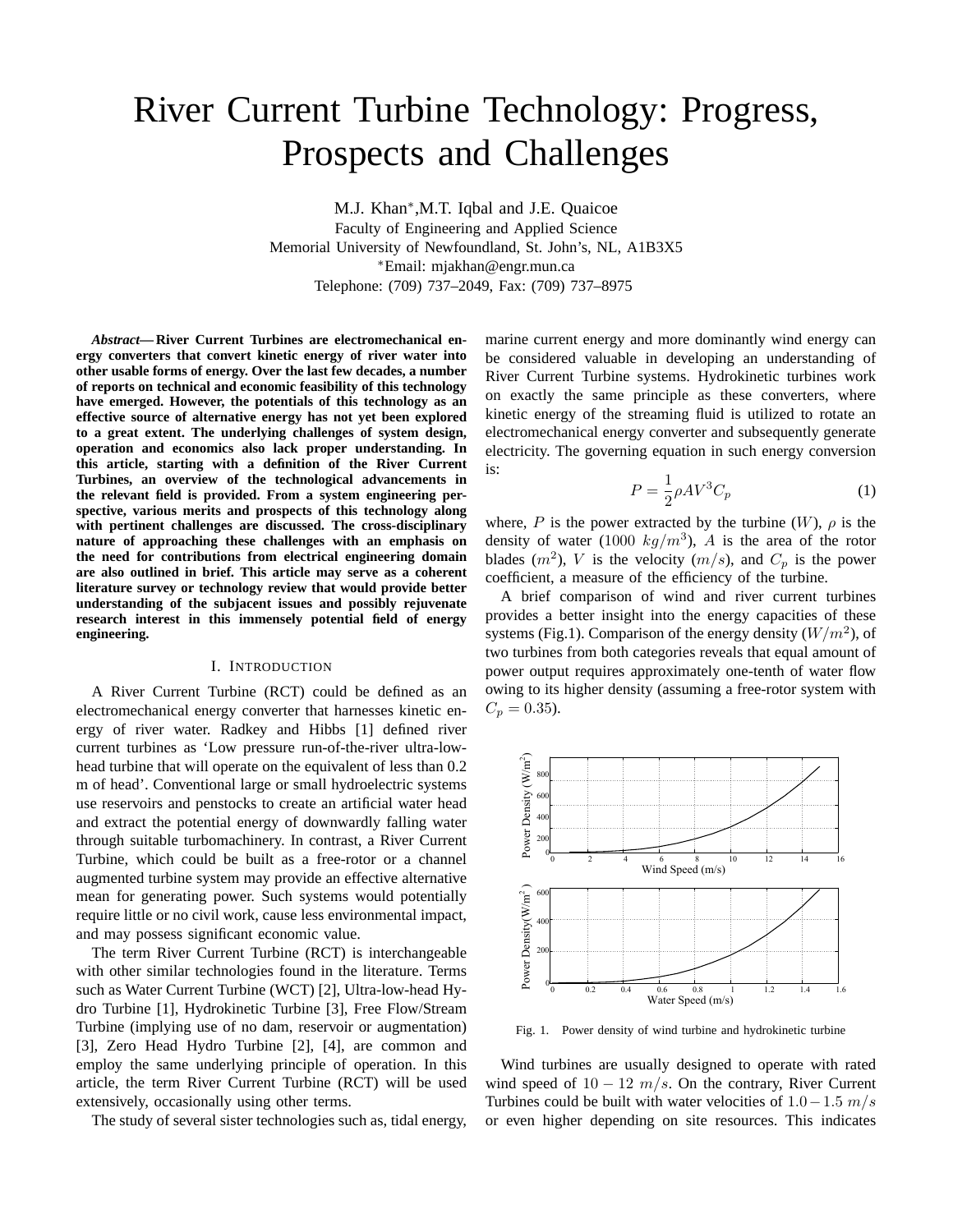# River Current Turbine Technology: Progress, Prospects and Challenges

M.J. Khan<sup>∗</sup> ,M.T. Iqbal and J.E. Quaicoe Faculty of Engineering and Applied Science Memorial University of Newfoundland, St. John's, NL, A1B3X5 <sup>∗</sup>Email: mjakhan@engr.mun.ca Telephone: (709) 737–2049, Fax: (709) 737–8975

*Abstract***— River Current Turbines are electromechanical energy converters that convert kinetic energy of river water into other usable forms of energy. Over the last few decades, a number of reports on technical and economic feasibility of this technology have emerged. However, the potentials of this technology as an effective source of alternative energy has not yet been explored to a great extent. The underlying challenges of system design, operation and economics also lack proper understanding. In this article, starting with a definition of the River Current Turbines, an overview of the technological advancements in the relevant field is provided. From a system engineering perspective, various merits and prospects of this technology along with pertinent challenges are discussed. The cross-disciplinary nature of approaching these challenges with an emphasis on the need for contributions from electrical engineering domain are also outlined in brief. This article may serve as a coherent literature survey or technology review that would provide better understanding of the subjacent issues and possibly rejuvenate research interest in this immensely potential field of energy engineering.**

# I. INTRODUCTION

A River Current Turbine (RCT) could be defined as an electromechanical energy converter that harnesses kinetic energy of river water. Radkey and Hibbs [1] defined river current turbines as 'Low pressure run-of-the-river ultra-lowhead turbine that will operate on the equivalent of less than 0.2 m of head'. Conventional large or small hydroelectric systems use reservoirs and penstocks to create an artificial water head and extract the potential energy of downwardly falling water through suitable turbomachinery. In contrast, a River Current Turbine, which could be built as a free-rotor or a channel augmented turbine system may provide an effective alternative mean for generating power. Such systems would potentially require little or no civil work, cause less environmental impact, and may possess significant economic value.

The term River Current Turbine (RCT) is interchangeable with other similar technologies found in the literature. Terms such as Water Current Turbine (WCT) [2], Ultra-low-head Hydro Turbine [1], Hydrokinetic Turbine [3], Free Flow/Stream Turbine (implying use of no dam, reservoir or augmentation) [3], Zero Head Hydro Turbine [2], [4], are common and employ the same underlying principle of operation. In this article, the term River Current Turbine (RCT) will be used extensively, occasionally using other terms.

The study of several sister technologies such as, tidal energy,

marine current energy and more dominantly wind energy can be considered valuable in developing an understanding of River Current Turbine systems. Hydrokinetic turbines work on exactly the same principle as these converters, where kinetic energy of the streaming fluid is utilized to rotate an electromechanical energy converter and subsequently generate electricity. The governing equation in such energy conversion is:

$$
P = \frac{1}{2}\rho A V^3 C_p \tag{1}
$$

where, P is the power extracted by the turbine  $(W)$ ,  $\rho$  is the density of water (1000  $kg/m^3$ ), A is the area of the rotor blades  $(m^2)$ , V is the velocity  $(m/s)$ , and  $C_p$  is the power coefficient, a measure of the efficiency of the turbine.

A brief comparison of wind and river current turbines provides a better insight into the energy capacities of these systems (Fig.1). Comparison of the energy density  $(W/m^2)$ , of two turbines from both categories reveals that equal amount of power output requires approximately one-tenth of water flow owing to its higher density (assuming a free-rotor system with  $C_p = 0.35$ .



Fig. 1. Power density of wind turbine and hydrokinetic turbine

Wind turbines are usually designed to operate with rated wind speed of  $10 - 12$  m/s. On the contrary, River Current Turbines could be built with water velocities of  $1.0-1.5$  m/s or even higher depending on site resources. This indicates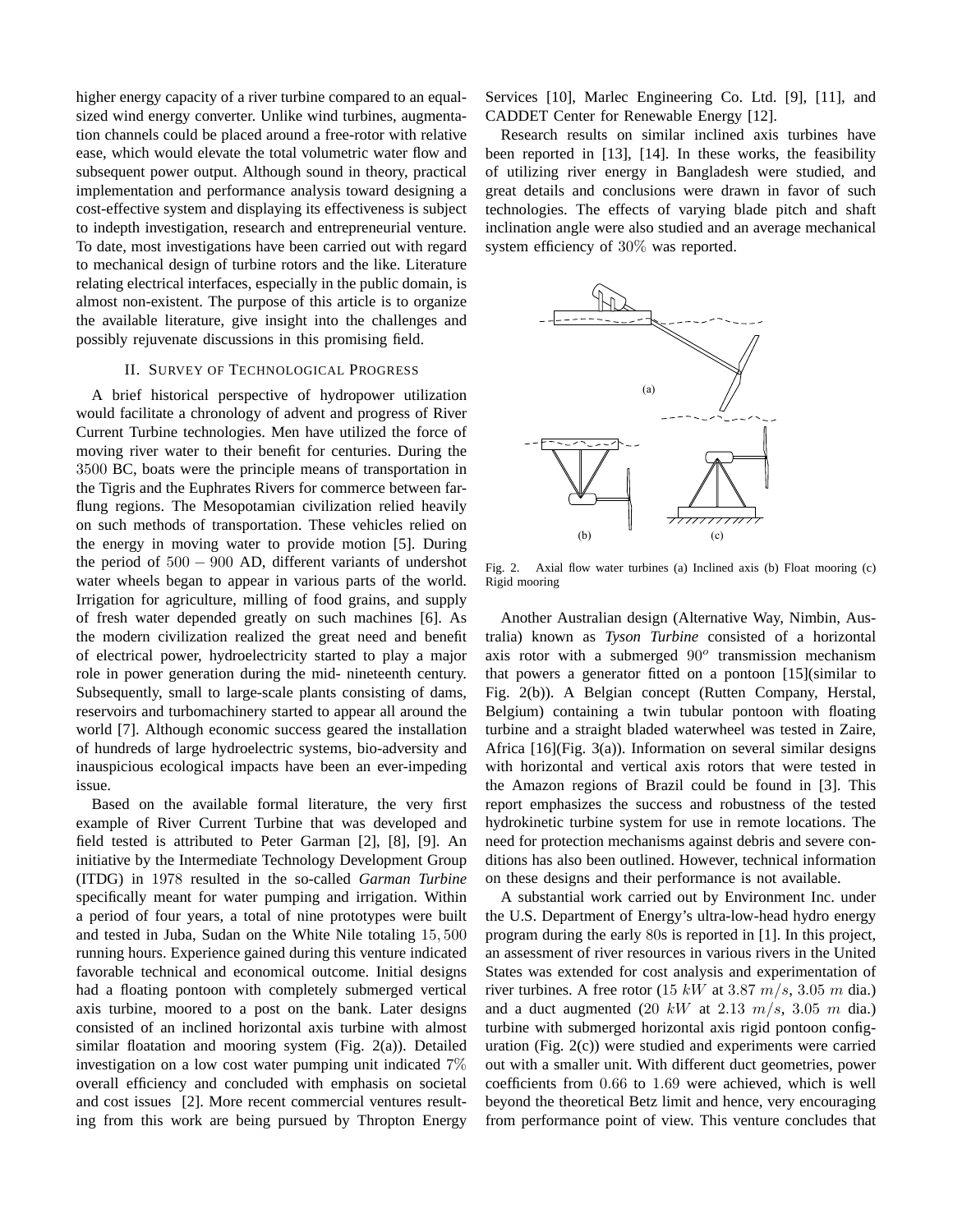higher energy capacity of a river turbine compared to an equalsized wind energy converter. Unlike wind turbines, augmentation channels could be placed around a free-rotor with relative ease, which would elevate the total volumetric water flow and subsequent power output. Although sound in theory, practical implementation and performance analysis toward designing a cost-effective system and displaying its effectiveness is subject to indepth investigation, research and entrepreneurial venture. To date, most investigations have been carried out with regard to mechanical design of turbine rotors and the like. Literature relating electrical interfaces, especially in the public domain, is almost non-existent. The purpose of this article is to organize the available literature, give insight into the challenges and possibly rejuvenate discussions in this promising field.

#### II. SURVEY OF TECHNOLOGICAL PROGRESS

A brief historical perspective of hydropower utilization would facilitate a chronology of advent and progress of River Current Turbine technologies. Men have utilized the force of moving river water to their benefit for centuries. During the 3500 BC, boats were the principle means of transportation in the Tigris and the Euphrates Rivers for commerce between farflung regions. The Mesopotamian civilization relied heavily on such methods of transportation. These vehicles relied on the energy in moving water to provide motion [5]. During the period of  $500 - 900$  AD, different variants of undershot water wheels began to appear in various parts of the world. Irrigation for agriculture, milling of food grains, and supply of fresh water depended greatly on such machines [6]. As the modern civilization realized the great need and benefit of electrical power, hydroelectricity started to play a major role in power generation during the mid- nineteenth century. Subsequently, small to large-scale plants consisting of dams, reservoirs and turbomachinery started to appear all around the world [7]. Although economic success geared the installation of hundreds of large hydroelectric systems, bio-adversity and inauspicious ecological impacts have been an ever-impeding issue.

Based on the available formal literature, the very first example of River Current Turbine that was developed and field tested is attributed to Peter Garman [2], [8], [9]. An initiative by the Intermediate Technology Development Group (ITDG) in 1978 resulted in the so-called *Garman Turbine* specifically meant for water pumping and irrigation. Within a period of four years, a total of nine prototypes were built and tested in Juba, Sudan on the White Nile totaling 15, 500 running hours. Experience gained during this venture indicated favorable technical and economical outcome. Initial designs had a floating pontoon with completely submerged vertical axis turbine, moored to a post on the bank. Later designs consisted of an inclined horizontal axis turbine with almost similar floatation and mooring system (Fig. 2(a)). Detailed investigation on a low cost water pumping unit indicated 7% overall efficiency and concluded with emphasis on societal and cost issues [2]. More recent commercial ventures resulting from this work are being pursued by Thropton Energy Services [10], Marlec Engineering Co. Ltd. [9], [11], and CADDET Center for Renewable Energy [12].

Research results on similar inclined axis turbines have been reported in [13], [14]. In these works, the feasibility of utilizing river energy in Bangladesh were studied, and great details and conclusions were drawn in favor of such technologies. The effects of varying blade pitch and shaft inclination angle were also studied and an average mechanical system efficiency of 30% was reported.



Fig. 2. Axial flow water turbines (a) Inclined axis (b) Float mooring (c) Rigid mooring

Another Australian design (Alternative Way, Nimbin, Australia) known as *Tyson Turbine* consisted of a horizontal axis rotor with a submerged  $90^{\circ}$  transmission mechanism that powers a generator fitted on a pontoon [15](similar to Fig. 2(b)). A Belgian concept (Rutten Company, Herstal, Belgium) containing a twin tubular pontoon with floating turbine and a straight bladed waterwheel was tested in Zaire, Africa [16](Fig. 3(a)). Information on several similar designs with horizontal and vertical axis rotors that were tested in the Amazon regions of Brazil could be found in [3]. This report emphasizes the success and robustness of the tested hydrokinetic turbine system for use in remote locations. The need for protection mechanisms against debris and severe conditions has also been outlined. However, technical information on these designs and their performance is not available.

A substantial work carried out by Environment Inc. under the U.S. Department of Energy's ultra-low-head hydro energy program during the early 80s is reported in [1]. In this project, an assessment of river resources in various rivers in the United States was extended for cost analysis and experimentation of river turbines. A free rotor (15 kW at 3.87  $m/s$ , 3.05 m dia.) and a duct augmented (20 kW at 2.13  $m/s$ , 3.05 m dia.) turbine with submerged horizontal axis rigid pontoon configuration (Fig. 2(c)) were studied and experiments were carried out with a smaller unit. With different duct geometries, power coefficients from 0.66 to 1.69 were achieved, which is well beyond the theoretical Betz limit and hence, very encouraging from performance point of view. This venture concludes that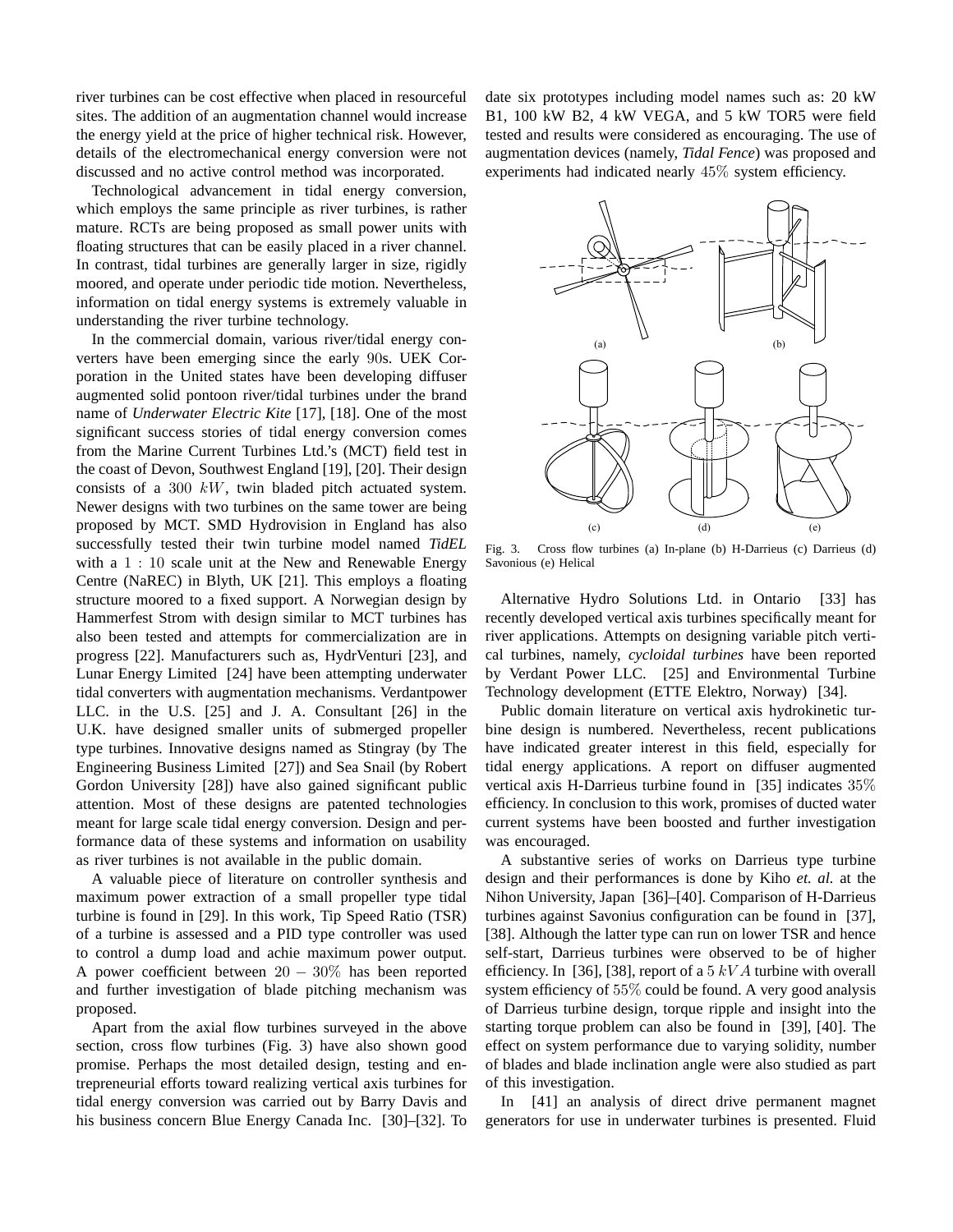river turbines can be cost effective when placed in resourceful sites. The addition of an augmentation channel would increase the energy yield at the price of higher technical risk. However, details of the electromechanical energy conversion were not discussed and no active control method was incorporated.

Technological advancement in tidal energy conversion, which employs the same principle as river turbines, is rather mature. RCTs are being proposed as small power units with floating structures that can be easily placed in a river channel. In contrast, tidal turbines are generally larger in size, rigidly moored, and operate under periodic tide motion. Nevertheless, information on tidal energy systems is extremely valuable in understanding the river turbine technology.

In the commercial domain, various river/tidal energy converters have been emerging since the early 90s. UEK Corporation in the United states have been developing diffuser augmented solid pontoon river/tidal turbines under the brand name of *Underwater Electric Kite* [17], [18]. One of the most significant success stories of tidal energy conversion comes from the Marine Current Turbines Ltd.'s (MCT) field test in the coast of Devon, Southwest England [19], [20]. Their design consists of a 300  $kW$ , twin bladed pitch actuated system. Newer designs with two turbines on the same tower are being proposed by MCT. SMD Hydrovision in England has also successfully tested their twin turbine model named *TidEL* with a 1 : 10 scale unit at the New and Renewable Energy Centre (NaREC) in Blyth, UK [21]. This employs a floating structure moored to a fixed support. A Norwegian design by Hammerfest Strom with design similar to MCT turbines has also been tested and attempts for commercialization are in progress [22]. Manufacturers such as, HydrVenturi [23], and Lunar Energy Limited [24] have been attempting underwater tidal converters with augmentation mechanisms. Verdantpower LLC. in the U.S. [25] and J. A. Consultant [26] in the U.K. have designed smaller units of submerged propeller type turbines. Innovative designs named as Stingray (by The Engineering Business Limited [27]) and Sea Snail (by Robert Gordon University [28]) have also gained significant public attention. Most of these designs are patented technologies meant for large scale tidal energy conversion. Design and performance data of these systems and information on usability as river turbines is not available in the public domain.

A valuable piece of literature on controller synthesis and maximum power extraction of a small propeller type tidal turbine is found in [29]. In this work, Tip Speed Ratio (TSR) of a turbine is assessed and a PID type controller was used to control a dump load and achie maximum power output. A power coefficient between  $20 - 30\%$  has been reported and further investigation of blade pitching mechanism was proposed.

Apart from the axial flow turbines surveyed in the above section, cross flow turbines (Fig. 3) have also shown good promise. Perhaps the most detailed design, testing and entrepreneurial efforts toward realizing vertical axis turbines for tidal energy conversion was carried out by Barry Davis and his business concern Blue Energy Canada Inc. [30]–[32]. To date six prototypes including model names such as: 20 kW B1, 100 kW B2, 4 kW VEGA, and 5 kW TOR5 were field tested and results were considered as encouraging. The use of augmentation devices (namely, *Tidal Fence*) was proposed and experiments had indicated nearly 45% system efficiency.



Fig. 3. Cross flow turbines (a) In-plane (b) H-Darrieus (c) Darrieus (d) Savonious (e) Helical

Alternative Hydro Solutions Ltd. in Ontario [33] has recently developed vertical axis turbines specifically meant for river applications. Attempts on designing variable pitch vertical turbines, namely, *cycloidal turbines* have been reported by Verdant Power LLC. [25] and Environmental Turbine Technology development (ETTE Elektro, Norway) [34].

Public domain literature on vertical axis hydrokinetic turbine design is numbered. Nevertheless, recent publications have indicated greater interest in this field, especially for tidal energy applications. A report on diffuser augmented vertical axis H-Darrieus turbine found in [35] indicates 35% efficiency. In conclusion to this work, promises of ducted water current systems have been boosted and further investigation was encouraged.

A substantive series of works on Darrieus type turbine design and their performances is done by Kiho *et. al.* at the Nihon University, Japan [36]–[40]. Comparison of H-Darrieus turbines against Savonius configuration can be found in [37], [38]. Although the latter type can run on lower TSR and hence self-start, Darrieus turbines were observed to be of higher efficiency. In [36], [38], report of a  $5 kVA$  turbine with overall system efficiency of 55% could be found. A very good analysis of Darrieus turbine design, torque ripple and insight into the starting torque problem can also be found in [39], [40]. The effect on system performance due to varying solidity, number of blades and blade inclination angle were also studied as part of this investigation.

In [41] an analysis of direct drive permanent magnet generators for use in underwater turbines is presented. Fluid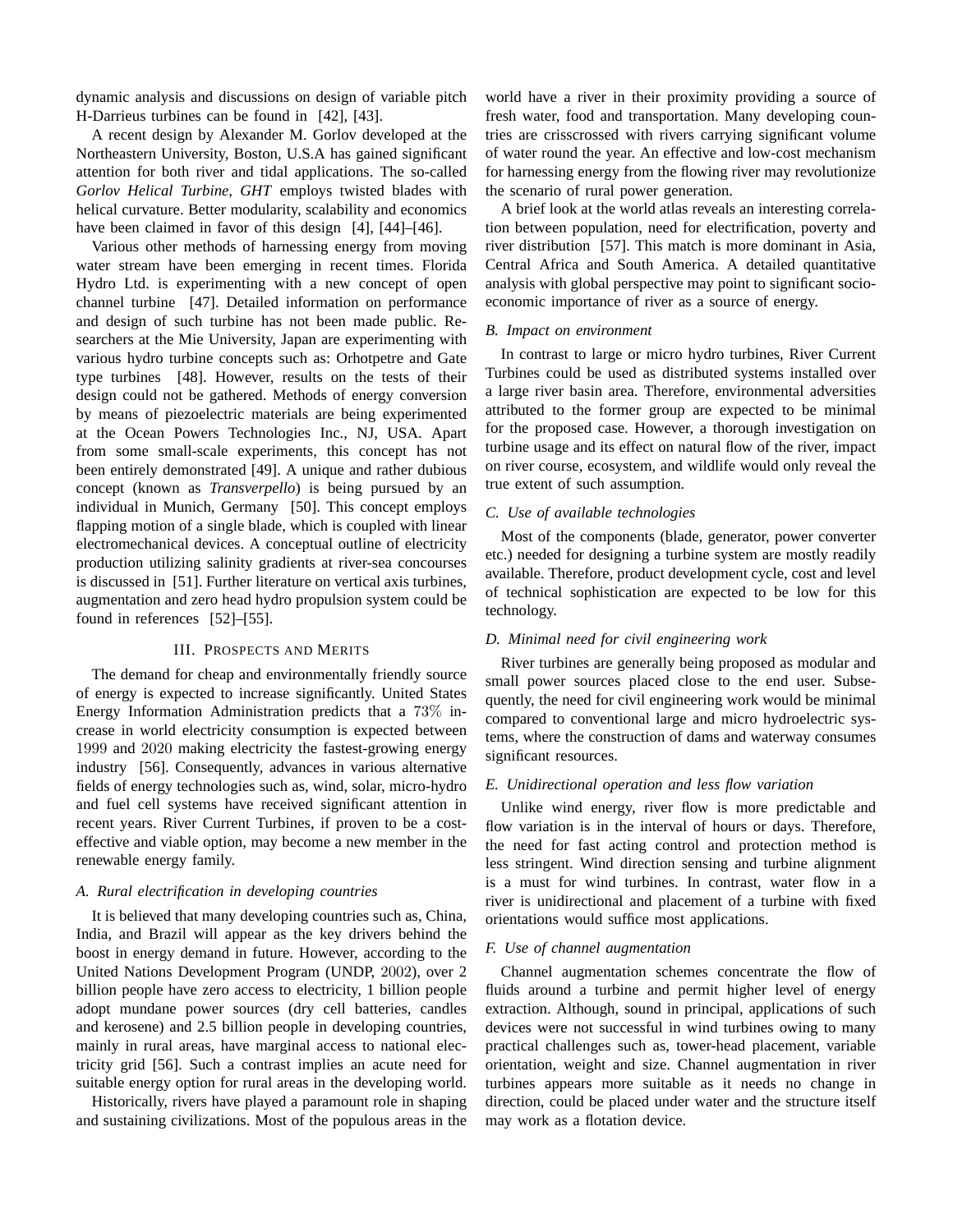dynamic analysis and discussions on design of variable pitch H-Darrieus turbines can be found in [42], [43].

A recent design by Alexander M. Gorlov developed at the Northeastern University, Boston, U.S.A has gained significant attention for both river and tidal applications. The so-called *Gorlov Helical Turbine, GHT* employs twisted blades with helical curvature. Better modularity, scalability and economics have been claimed in favor of this design [4], [44]–[46].

Various other methods of harnessing energy from moving water stream have been emerging in recent times. Florida Hydro Ltd. is experimenting with a new concept of open channel turbine [47]. Detailed information on performance and design of such turbine has not been made public. Researchers at the Mie University, Japan are experimenting with various hydro turbine concepts such as: Orhotpetre and Gate type turbines [48]. However, results on the tests of their design could not be gathered. Methods of energy conversion by means of piezoelectric materials are being experimented at the Ocean Powers Technologies Inc., NJ, USA. Apart from some small-scale experiments, this concept has not been entirely demonstrated [49]. A unique and rather dubious concept (known as *Transverpello*) is being pursued by an individual in Munich, Germany [50]. This concept employs flapping motion of a single blade, which is coupled with linear electromechanical devices. A conceptual outline of electricity production utilizing salinity gradients at river-sea concourses is discussed in [51]. Further literature on vertical axis turbines, augmentation and zero head hydro propulsion system could be found in references [52]–[55].

# III. PROSPECTS AND MERITS

The demand for cheap and environmentally friendly source of energy is expected to increase significantly. United States Energy Information Administration predicts that a 73% increase in world electricity consumption is expected between 1999 and 2020 making electricity the fastest-growing energy industry [56]. Consequently, advances in various alternative fields of energy technologies such as, wind, solar, micro-hydro and fuel cell systems have received significant attention in recent years. River Current Turbines, if proven to be a costeffective and viable option, may become a new member in the renewable energy family.

# *A. Rural electrification in developing countries*

It is believed that many developing countries such as, China, India, and Brazil will appear as the key drivers behind the boost in energy demand in future. However, according to the United Nations Development Program (UNDP, 2002), over 2 billion people have zero access to electricity, 1 billion people adopt mundane power sources (dry cell batteries, candles and kerosene) and 2.5 billion people in developing countries, mainly in rural areas, have marginal access to national electricity grid [56]. Such a contrast implies an acute need for suitable energy option for rural areas in the developing world.

Historically, rivers have played a paramount role in shaping and sustaining civilizations. Most of the populous areas in the world have a river in their proximity providing a source of fresh water, food and transportation. Many developing countries are crisscrossed with rivers carrying significant volume of water round the year. An effective and low-cost mechanism for harnessing energy from the flowing river may revolutionize the scenario of rural power generation.

A brief look at the world atlas reveals an interesting correlation between population, need for electrification, poverty and river distribution [57]. This match is more dominant in Asia, Central Africa and South America. A detailed quantitative analysis with global perspective may point to significant socioeconomic importance of river as a source of energy.

#### *B. Impact on environment*

In contrast to large or micro hydro turbines, River Current Turbines could be used as distributed systems installed over a large river basin area. Therefore, environmental adversities attributed to the former group are expected to be minimal for the proposed case. However, a thorough investigation on turbine usage and its effect on natural flow of the river, impact on river course, ecosystem, and wildlife would only reveal the true extent of such assumption.

# *C. Use of available technologies*

Most of the components (blade, generator, power converter etc.) needed for designing a turbine system are mostly readily available. Therefore, product development cycle, cost and level of technical sophistication are expected to be low for this technology.

# *D. Minimal need for civil engineering work*

River turbines are generally being proposed as modular and small power sources placed close to the end user. Subsequently, the need for civil engineering work would be minimal compared to conventional large and micro hydroelectric systems, where the construction of dams and waterway consumes significant resources.

## *E. Unidirectional operation and less flow variation*

Unlike wind energy, river flow is more predictable and flow variation is in the interval of hours or days. Therefore, the need for fast acting control and protection method is less stringent. Wind direction sensing and turbine alignment is a must for wind turbines. In contrast, water flow in a river is unidirectional and placement of a turbine with fixed orientations would suffice most applications.

# *F. Use of channel augmentation*

Channel augmentation schemes concentrate the flow of fluids around a turbine and permit higher level of energy extraction. Although, sound in principal, applications of such devices were not successful in wind turbines owing to many practical challenges such as, tower-head placement, variable orientation, weight and size. Channel augmentation in river turbines appears more suitable as it needs no change in direction, could be placed under water and the structure itself may work as a flotation device.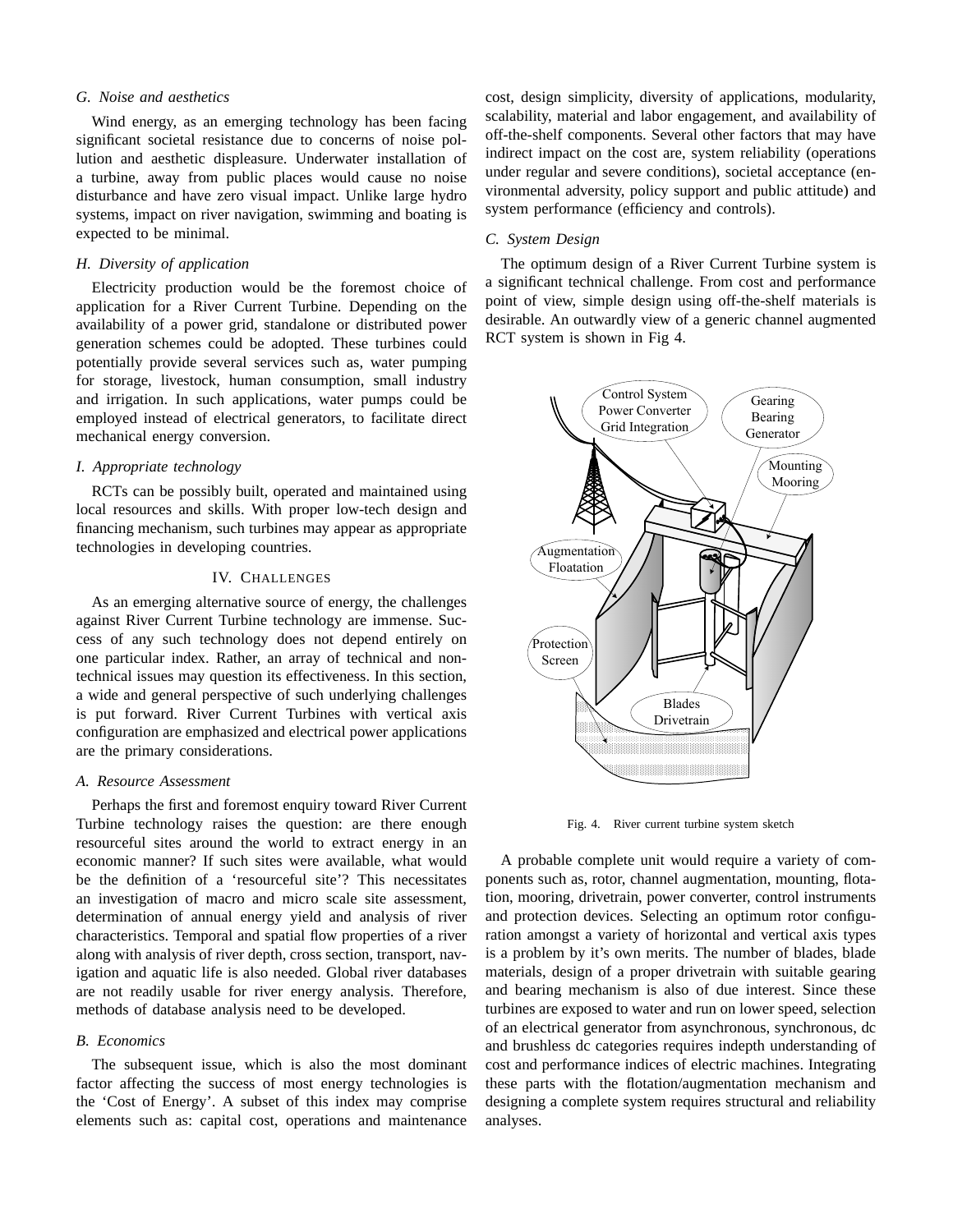## *G. Noise and aesthetics*

Wind energy, as an emerging technology has been facing significant societal resistance due to concerns of noise pollution and aesthetic displeasure. Underwater installation of a turbine, away from public places would cause no noise disturbance and have zero visual impact. Unlike large hydro systems, impact on river navigation, swimming and boating is expected to be minimal.

# *H. Diversity of application*

Electricity production would be the foremost choice of application for a River Current Turbine. Depending on the availability of a power grid, standalone or distributed power generation schemes could be adopted. These turbines could potentially provide several services such as, water pumping for storage, livestock, human consumption, small industry and irrigation. In such applications, water pumps could be employed instead of electrical generators, to facilitate direct mechanical energy conversion.

#### *I. Appropriate technology*

RCTs can be possibly built, operated and maintained using local resources and skills. With proper low-tech design and financing mechanism, such turbines may appear as appropriate technologies in developing countries.

## IV. CHALLENGES

As an emerging alternative source of energy, the challenges against River Current Turbine technology are immense. Success of any such technology does not depend entirely on one particular index. Rather, an array of technical and nontechnical issues may question its effectiveness. In this section, a wide and general perspective of such underlying challenges is put forward. River Current Turbines with vertical axis configuration are emphasized and electrical power applications are the primary considerations.

## *A. Resource Assessment*

Perhaps the first and foremost enquiry toward River Current Turbine technology raises the question: are there enough resourceful sites around the world to extract energy in an economic manner? If such sites were available, what would be the definition of a 'resourceful site'? This necessitates an investigation of macro and micro scale site assessment, determination of annual energy yield and analysis of river characteristics. Temporal and spatial flow properties of a river along with analysis of river depth, cross section, transport, navigation and aquatic life is also needed. Global river databases are not readily usable for river energy analysis. Therefore, methods of database analysis need to be developed.

### *B. Economics*

The subsequent issue, which is also the most dominant factor affecting the success of most energy technologies is the 'Cost of Energy'. A subset of this index may comprise elements such as: capital cost, operations and maintenance

cost, design simplicity, diversity of applications, modularity, scalability, material and labor engagement, and availability of off-the-shelf components. Several other factors that may have indirect impact on the cost are, system reliability (operations under regular and severe conditions), societal acceptance (environmental adversity, policy support and public attitude) and system performance (efficiency and controls).

## *C. System Design*

The optimum design of a River Current Turbine system is a significant technical challenge. From cost and performance point of view, simple design using off-the-shelf materials is desirable. An outwardly view of a generic channel augmented RCT system is shown in Fig 4.



Fig. 4. River current turbine system sketch

A probable complete unit would require a variety of components such as, rotor, channel augmentation, mounting, flotation, mooring, drivetrain, power converter, control instruments and protection devices. Selecting an optimum rotor configuration amongst a variety of horizontal and vertical axis types is a problem by it's own merits. The number of blades, blade materials, design of a proper drivetrain with suitable gearing and bearing mechanism is also of due interest. Since these turbines are exposed to water and run on lower speed, selection of an electrical generator from asynchronous, synchronous, dc and brushless dc categories requires indepth understanding of cost and performance indices of electric machines. Integrating these parts with the flotation/augmentation mechanism and designing a complete system requires structural and reliability analyses.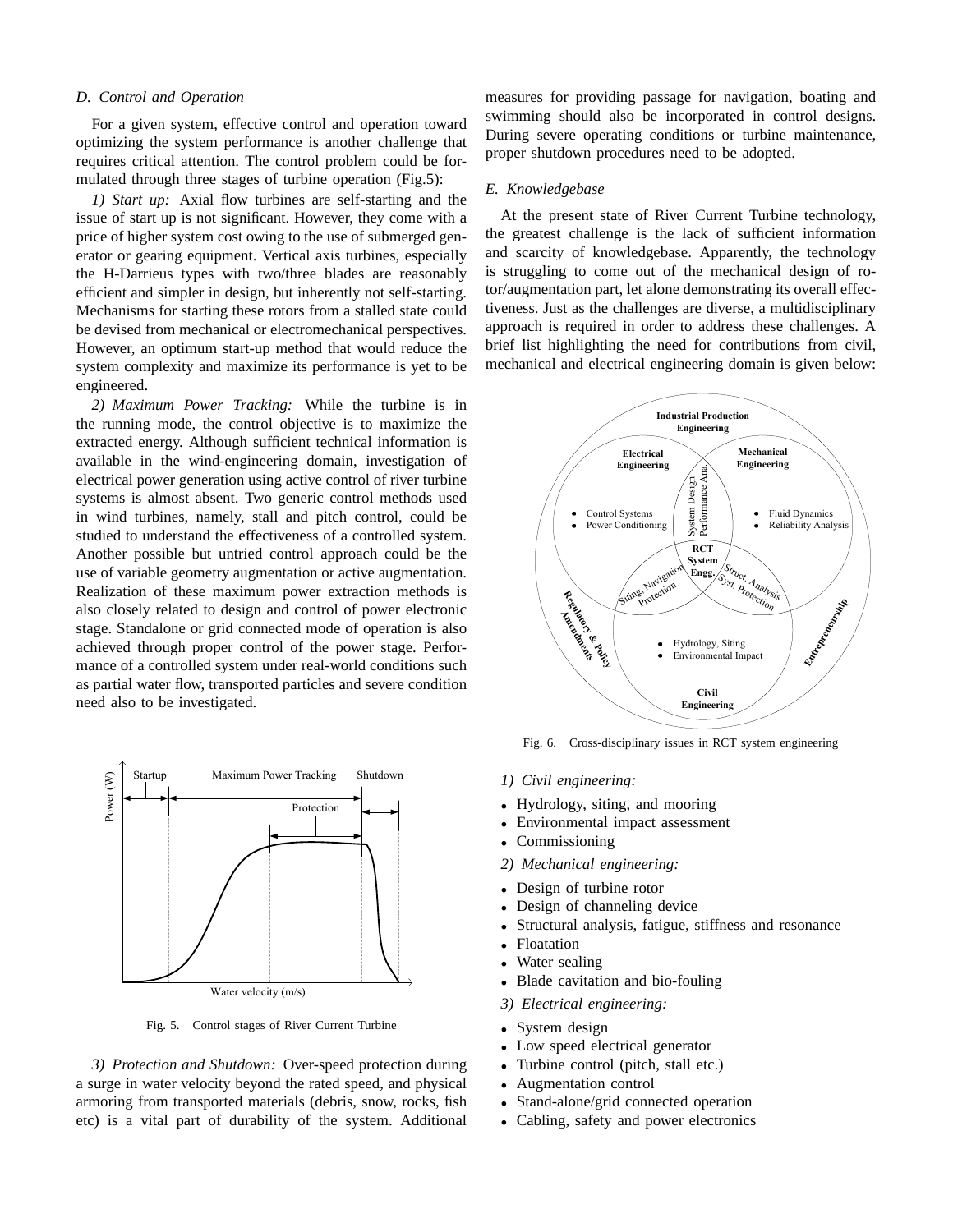## *D. Control and Operation*

For a given system, effective control and operation toward optimizing the system performance is another challenge that requires critical attention. The control problem could be formulated through three stages of turbine operation (Fig.5):

*1) Start up:* Axial flow turbines are self-starting and the issue of start up is not significant. However, they come with a price of higher system cost owing to the use of submerged generator or gearing equipment. Vertical axis turbines, especially the H-Darrieus types with two/three blades are reasonably efficient and simpler in design, but inherently not self-starting. Mechanisms for starting these rotors from a stalled state could be devised from mechanical or electromechanical perspectives. However, an optimum start-up method that would reduce the system complexity and maximize its performance is yet to be engineered.

*2) Maximum Power Tracking:* While the turbine is in the running mode, the control objective is to maximize the extracted energy. Although sufficient technical information is available in the wind-engineering domain, investigation of electrical power generation using active control of river turbine systems is almost absent. Two generic control methods used in wind turbines, namely, stall and pitch control, could be studied to understand the effectiveness of a controlled system. Another possible but untried control approach could be the use of variable geometry augmentation or active augmentation. Realization of these maximum power extraction methods is also closely related to design and control of power electronic stage. Standalone or grid connected mode of operation is also achieved through proper control of the power stage. Performance of a controlled system under real-world conditions such as partial water flow, transported particles and severe condition need also to be investigated.



Fig. 5. Control stages of River Current Turbine

*3) Protection and Shutdown:* Over-speed protection during a surge in water velocity beyond the rated speed, and physical armoring from transported materials (debris, snow, rocks, fish etc) is a vital part of durability of the system. Additional measures for providing passage for navigation, boating and swimming should also be incorporated in control designs. During severe operating conditions or turbine maintenance, proper shutdown procedures need to be adopted.

# *E. Knowledgebase*

At the present state of River Current Turbine technology, the greatest challenge is the lack of sufficient information and scarcity of knowledgebase. Apparently, the technology is struggling to come out of the mechanical design of rotor/augmentation part, let alone demonstrating its overall effectiveness. Just as the challenges are diverse, a multidisciplinary approach is required in order to address these challenges. A brief list highlighting the need for contributions from civil, mechanical and electrical engineering domain is given below:



Fig. 6. Cross-disciplinary issues in RCT system engineering

- *1) Civil engineering:*
- Hydrology, siting, and mooring
- Environmental impact assessment
- Commissioning
- *2) Mechanical engineering:*
- Design of turbine rotor
- Design of channeling device
- Structural analysis, fatigue, stiffness and resonance
- Floatation
- Water sealing
- Blade cavitation and bio-fouling
- *3) Electrical engineering:*
- System design
- Low speed electrical generator
- Turbine control (pitch, stall etc.)
- Augmentation control
- Stand-alone/grid connected operation
- Cabling, safety and power electronics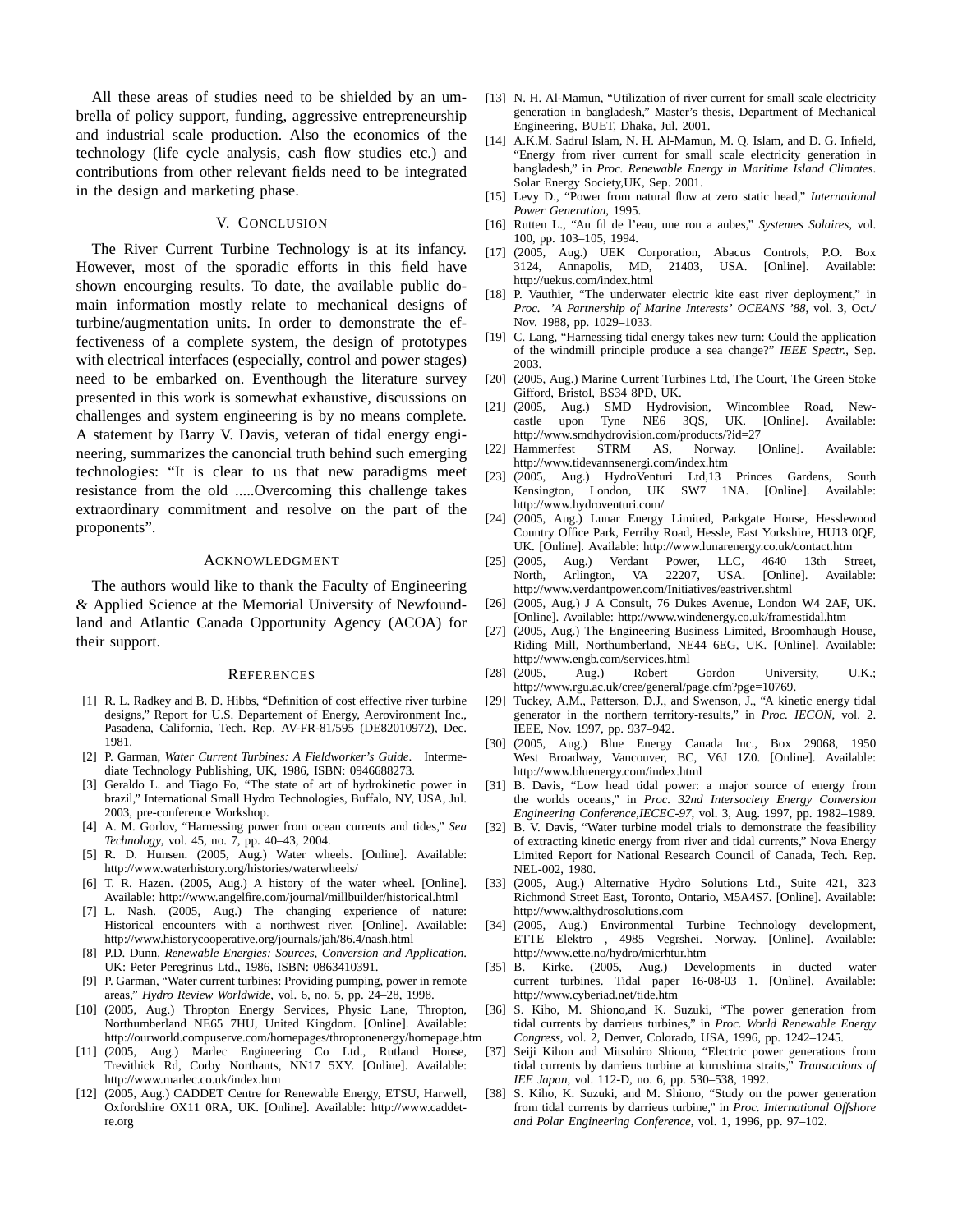All these areas of studies need to be shielded by an umbrella of policy support, funding, aggressive entrepreneurship and industrial scale production. Also the economics of the technology (life cycle analysis, cash flow studies etc.) and contributions from other relevant fields need to be integrated in the design and marketing phase.

# V. CONCLUSION

The River Current Turbine Technology is at its infancy. However, most of the sporadic efforts in this field have shown encourging results. To date, the available public domain information mostly relate to mechanical designs of turbine/augmentation units. In order to demonstrate the effectiveness of a complete system, the design of prototypes with electrical interfaces (especially, control and power stages) need to be embarked on. Eventhough the literature survey presented in this work is somewhat exhaustive, discussions on challenges and system engineering is by no means complete. A statement by Barry V. Davis, veteran of tidal energy engineering, summarizes the canoncial truth behind such emerging technologies: "It is clear to us that new paradigms meet resistance from the old .....Overcoming this challenge takes extraordinary commitment and resolve on the part of the proponents".

#### ACKNOWLEDGMENT

The authors would like to thank the Faculty of Engineering & Applied Science at the Memorial University of Newfoundland and Atlantic Canada Opportunity Agency (ACOA) for their support.

#### **REFERENCES**

- [1] R. L. Radkey and B. D. Hibbs, "Definition of cost effective river turbine designs," Report for U.S. Departement of Energy, Aerovironment Inc., Pasadena, California, Tech. Rep. AV-FR-81/595 (DE82010972), Dec. 1981.
- [2] P. Garman, *Water Current Turbines: A Fieldworker's Guide*. Intermediate Technology Publishing, UK, 1986, ISBN: 0946688273.
- [3] Geraldo L. and Tiago Fo, "The state of art of hydrokinetic power in brazil," International Small Hydro Technologies, Buffalo, NY, USA, Jul. 2003, pre-conference Workshop.
- [4] A. M. Gorlov, "Harnessing power from ocean currents and tides," *Sea Technology*, vol. 45, no. 7, pp. 40–43, 2004.
- [5] R. D. Hunsen. (2005, Aug.) Water wheels. [Online]. Available: http://www.waterhistory.org/histories/waterwheels/
- [6] T. R. Hazen. (2005, Aug.) A history of the water wheel. [Online]. Available: http://www.angelfire.com/journal/millbuilder/historical.html
- [7] L. Nash. (2005, Aug.) The changing experience of nature: Historical encounters with a northwest river. [Online]. Available: http://www.historycooperative.org/journals/jah/86.4/nash.html
- [8] P.D. Dunn, *Renewable Energies: Sources, Conversion and Application*. UK: Peter Peregrinus Ltd., 1986, ISBN: 0863410391.
- [9] P. Garman, "Water current turbines: Providing pumping, power in remote areas," *Hydro Review Worldwide*, vol. 6, no. 5, pp. 24–28, 1998.
- [10] (2005, Aug.) Thropton Energy Services, Physic Lane, Thropton, Northumberland NE65 7HU, United Kingdom. [Online]. Available: http://ourworld.compuserve.com/homepages/throptonenergy/homepage.htm
- [11] (2005, Aug.) Marlec Engineering Co Ltd., Rutland House, Trevithick Rd, Corby Northants, NN17 5XY. [Online]. Available: http://www.marlec.co.uk/index.htm
- [12] (2005, Aug.) CADDET Centre for Renewable Energy, ETSU, Harwell, Oxfordshire OX11 0RA, UK. [Online]. Available: http://www.caddetre.org
- [13] N. H. Al-Mamun, "Utilization of river current for small scale electricity generation in bangladesh," Master's thesis, Department of Mechanical Engineering, BUET, Dhaka, Jul. 2001.
- [14] A.K.M. Sadrul Islam, N. H. Al-Mamun, M. Q. Islam, and D. G. Infield, "Energy from river current for small scale electricity generation in bangladesh," in *Proc. Renewable Energy in Maritime Island Climates*. Solar Energy Society,UK, Sep. 2001.
- [15] Levy D., "Power from natural flow at zero static head," *International Power Generation*, 1995.
- [16] Rutten L., "Au fil de l'eau, une rou a aubes," *Systemes Solaires*, vol. 100, pp. 103–105, 1994.
- [17] (2005, Aug.) UEK Corporation, Abacus Controls, P.O. Box 3124, Annapolis, MD, 21403, USA. [Online]. Available: http://uekus.com/index.html
- [18] P. Vauthier, "The underwater electric kite east river deployment," in *Proc. 'A Partnership of Marine Interests' OCEANS '88*, vol. 3, Oct./ Nov. 1988, pp. 1029–1033.
- [19] C. Lang, "Harnessing tidal energy takes new turn: Could the application of the windmill principle produce a sea change?" *IEEE Spectr.*, Sep. 2003.
- [20] (2005, Aug.) Marine Current Turbines Ltd, The Court, The Green Stoke Gifford, Bristol, BS34 8PD, UK.<br>[21] (2005, Aug.) SMD Hydrov
- [21] (2005, Aug.) SMD Hydrovision, Wincomblee Road, Newcastle upon Tyne NE6 3QS, UK. [Online]. Available: http://www.smdhydrovision.com/products/?id=27<br>Hammerfest STRM AS, Norway. [Online].
- [22] Hammerfest STRM AS, Norway. [Online]. Available: http://www.tidevannsenergi.com/index.htm
- [23] (2005, Aug.) HydroVenturi Ltd,13 Princes Gardens, South Kensington, London, UK SW7 1NA. [Online]. Available: http://www.hydroventuri.com/
- [24] (2005, Aug.) Lunar Energy Limited, Parkgate House, Hesslewood Country Office Park, Ferriby Road, Hessle, East Yorkshire, HU13 0QF, UK. [Online]. Available: http://www.lunarenergy.co.uk/contact.htm
- [25] (2005, Aug.) Verdant Power, LLC, 4640 13th Street, North, Arlington, VA 22207, USA. [Online]. Available: http://www.verdantpower.com/Initiatives/eastriver.shtml
- [26] (2005, Aug.) J A Consult, 76 Dukes Avenue, London W4 2AF, UK. [Online]. Available: http://www.windenergy.co.uk/framestidal.htm
- [27] (2005, Aug.) The Engineering Business Limited, Broomhaugh House, Riding Mill, Northumberland, NE44 6EG, UK. [Online]. Available: http://www.engb.com/services.html
- [28] (2005, Aug.) Robert Gordon University, U.K.; http://www.rgu.ac.uk/cree/general/page.cfm?pge=10769.
- [29] Tuckey, A.M., Patterson, D.J., and Swenson, J., "A kinetic energy tidal generator in the northern territory-results," in *Proc. IECON*, vol. 2. IEEE, Nov. 1997, pp. 937–942.
- [30] (2005, Aug.) Blue Energy Canada Inc., Box 29068, 1950 West Broadway, Vancouver, BC, V6J 1Z0. [Online]. Available: http://www.bluenergy.com/index.html
- [31] B. Davis, "Low head tidal power: a major source of energy from the worlds oceans," in *Proc. 32nd Intersociety Energy Conversion Engineering Conference,IECEC-97*, vol. 3, Aug. 1997, pp. 1982–1989.
- [32] B. V. Davis, "Water turbine model trials to demonstrate the feasibility of extracting kinetic energy from river and tidal currents," Nova Energy Limited Report for National Research Council of Canada, Tech. Rep. NEL-002, 1980.
- [33] (2005, Aug.) Alternative Hydro Solutions Ltd., Suite 421, 323 Richmond Street East, Toronto, Ontario, M5A4S7. [Online]. Available: http://www.althydrosolutions.com
- [34] (2005, Aug.) Environmental Turbine Technology development, ETTE Elektro , 4985 Vegrshei. Norway. [Online]. Available: http://www.ette.no/hydro/micrhtur.htm
- [35] B. Kirke. (2005, Aug.) Developments in ducted water current turbines. Tidal paper 16-08-03 1. [Online]. Available: http://www.cyberiad.net/tide.htm
- [36] S. Kiho, M. Shiono,and K. Suzuki, "The power generation from tidal currents by darrieus turbines," in *Proc. World Renewable Energy Congress*, vol. 2, Denver, Colorado, USA, 1996, pp. 1242–1245.
- [37] Seiji Kihon and Mitsuhiro Shiono, "Electric power generations from tidal currents by darrieus turbine at kurushima straits," *Transactions of IEE Japan*, vol. 112-D, no. 6, pp. 530–538, 1992.
- [38] S. Kiho, K. Suzuki, and M. Shiono, "Study on the power generation from tidal currents by darrieus turbine," in *Proc. International Offshore and Polar Engineering Conference*, vol. 1, 1996, pp. 97–102.